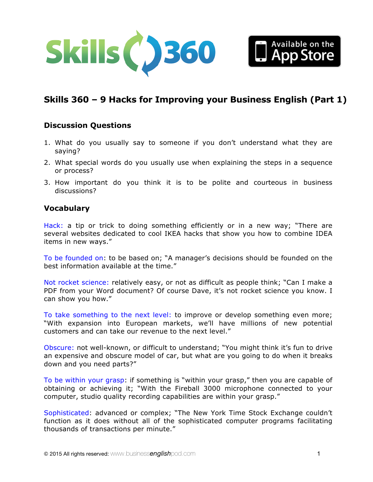



# **Skills 360 – 9 Hacks for Improving your Business English (Part 1)**

## **Discussion Questions**

- 1. What do you usually say to someone if you don't understand what they are saying?
- 2. What special words do you usually use when explaining the steps in a sequence or process?
- 3. How important do you think it is to be polite and courteous in business discussions?

## **Vocabulary**

Hack: a tip or trick to doing something efficiently or in a new way; "There are several websites dedicated to cool IKEA hacks that show you how to combine IDEA items in new ways."

To be founded on: to be based on; "A manager's decisions should be founded on the best information available at the time."

Not rocket science: relatively easy, or not as difficult as people think; "Can I make a PDF from your Word document? Of course Dave, it's not rocket science you know. I can show you how."

To take something to the next level: to improve or develop something even more; "With expansion into European markets, we'll have millions of new potential customers and can take our revenue to the next level."

Obscure: not well-known, or difficult to understand; "You might think it's fun to drive an expensive and obscure model of car, but what are you going to do when it breaks down and you need parts?"

To be within your grasp: if something is "within your grasp," then you are capable of obtaining or achieving it; "With the Fireball 3000 microphone connected to your computer, studio quality recording capabilities are within your grasp."

Sophisticated: advanced or complex; "The New York Time Stock Exchange couldn't function as it does without all of the sophisticated computer programs facilitating thousands of transactions per minute."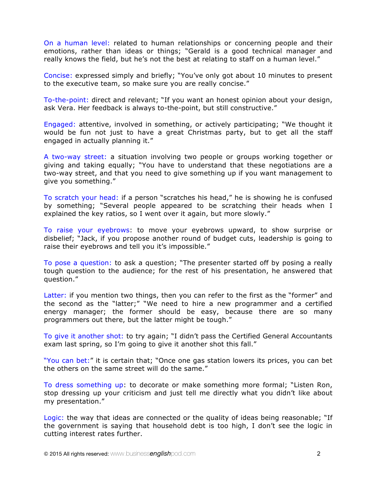On a human level: related to human relationships or concerning people and their emotions, rather than ideas or things; "Gerald is a good technical manager and really knows the field, but he's not the best at relating to staff on a human level."

Concise: expressed simply and briefly; "You've only got about 10 minutes to present to the executive team, so make sure you are really concise."

To-the-point: direct and relevant; "If you want an honest opinion about your design, ask Vera. Her feedback is always to-the-point, but still constructive."

Engaged: attentive, involved in something, or actively participating; "We thought it would be fun not just to have a great Christmas party, but to get all the staff engaged in actually planning it."

A two-way street: a situation involving two people or groups working together or giving and taking equally; "You have to understand that these negotiations are a two-way street, and that you need to give something up if you want management to give you something."

To scratch your head: if a person "scratches his head," he is showing he is confused by something; "Several people appeared to be scratching their heads when I explained the key ratios, so I went over it again, but more slowly."

To raise your eyebrows: to move your eyebrows upward, to show surprise or disbelief; "Jack, if you propose another round of budget cuts, leadership is going to raise their eyebrows and tell you it's impossible."

To pose a question: to ask a question; "The presenter started off by posing a really tough question to the audience; for the rest of his presentation, he answered that question."

Latter: if you mention two things, then you can refer to the first as the "former" and the second as the "latter;" "We need to hire a new programmer and a certified energy manager; the former should be easy, because there are so many programmers out there, but the latter might be tough."

To give it another shot: to try again; "I didn't pass the Certified General Accountants exam last spring, so I'm going to give it another shot this fall."

"You can bet:" it is certain that; "Once one gas station lowers its prices, you can bet the others on the same street will do the same."

To dress something up: to decorate or make something more formal; "Listen Ron, stop dressing up your criticism and just tell me directly what you didn't like about my presentation."

Logic: the way that ideas are connected or the quality of ideas being reasonable; "If the government is saying that household debt is too high, I don't see the logic in cutting interest rates further.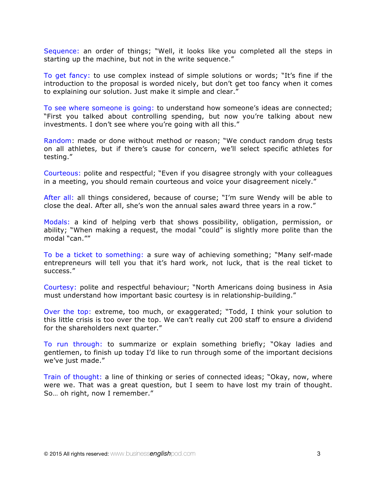Sequence: an order of things; "Well, it looks like you completed all the steps in starting up the machine, but not in the write sequence."

To get fancy: to use complex instead of simple solutions or words; "It's fine if the introduction to the proposal is worded nicely, but don't get too fancy when it comes to explaining our solution. Just make it simple and clear."

To see where someone is going: to understand how someone's ideas are connected; "First you talked about controlling spending, but now you're talking about new investments. I don't see where you're going with all this."

Random: made or done without method or reason; "We conduct random drug tests on all athletes, but if there's cause for concern, we'll select specific athletes for testing."

Courteous: polite and respectful; "Even if you disagree strongly with your colleagues in a meeting, you should remain courteous and voice your disagreement nicely."

After all: all things considered, because of course; "I'm sure Wendy will be able to close the deal. After all, she's won the annual sales award three years in a row."

Modals: a kind of helping verb that shows possibility, obligation, permission, or ability; "When making a request, the modal "could" is slightly more polite than the modal "can.""

To be a ticket to something: a sure way of achieving something; "Many self-made entrepreneurs will tell you that it's hard work, not luck, that is the real ticket to success."

Courtesy: polite and respectful behaviour; "North Americans doing business in Asia must understand how important basic courtesy is in relationship-building."

Over the top: extreme, too much, or exaggerated; "Todd, I think your solution to this little crisis is too over the top. We can't really cut 200 staff to ensure a dividend for the shareholders next quarter."

To run through: to summarize or explain something briefly; "Okay ladies and gentlemen, to finish up today I'd like to run through some of the important decisions we've just made."

Train of thought: a line of thinking or series of connected ideas; "Okay, now, where were we. That was a great question, but I seem to have lost my train of thought. So… oh right, now I remember."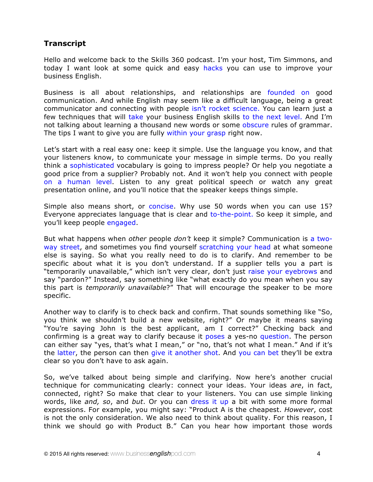## **Transcript**

Hello and welcome back to the Skills 360 podcast. I'm your host, Tim Simmons, and today I want look at some quick and easy hacks you can use to improve your business English.

Business is all about relationships, and relationships are founded on good communication. And while English may seem like a difficult language, being a great communicator and connecting with people isn't rocket science. You can learn just a few techniques that will take your business English skills to the next level. And I'm not talking about learning a thousand new words or some obscure rules of grammar. The tips I want to give you are fully within your grasp right now.

Let's start with a real easy one: keep it simple. Use the language you know, and that your listeners know, to communicate your message in simple terms. Do you really think a sophisticated vocabulary is going to impress people? Or help you negotiate a good price from a supplier? Probably not. And it won't help you connect with people on a human level. Listen to any great political speech or watch any great presentation online, and you'll notice that the speaker keeps things simple.

Simple also means short, or concise. Why use 50 words when you can use 15? Everyone appreciates language that is clear and to-the-point. So keep it simple, and you'll keep people engaged.

But what happens when *other* people *don't* keep it simple? Communication is a twoway street, and sometimes you find yourself scratching your head at what someone else is saying. So what you really need to do is to clarify. And remember to be specific about what it is you don't understand. If a supplier tells you a part is "temporarily unavailable," which isn't very clear, don't just raise your eyebrows and say "pardon?" Instead, say something like "what exactly do you mean when you say this part is *temporarily unavailable*?" That will encourage the speaker to be more specific.

Another way to clarify is to check back and confirm. That sounds something like "So, you think we shouldn't build a new website, right?" Or maybe it means saying "You're saying John is the best applicant, am I correct?" Checking back and confirming is a great way to clarify because it poses a yes-no question. The person can either say "yes, that's what I mean," or "no, that's not what I mean." And if it's the latter, the person can then give it another shot. And you can bet they'll be extra clear so you don't have to ask again.

So, we've talked about being simple and clarifying. Now here's another crucial technique for communicating clearly: connect your ideas. Your ideas *are*, in fact, connected, right? So make that clear to your listeners. You can use simple linking words, like *and, so*, and *but*. Or you can dress it up a bit with some more formal expressions. For example, you might say: "Product A is the cheapest. *However*, cost is not the only consideration. We also need to think about quality. For this reason, I think we should go with Product B." Can you hear how important those words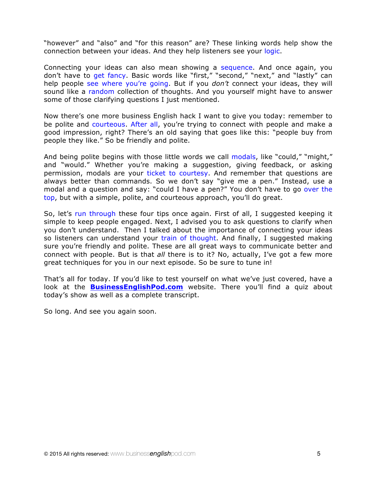"however" and "also" and "for this reason" are? These linking words help show the connection between your ideas. And they help listeners see your logic.

Connecting your ideas can also mean showing a sequence. And once again, you don't have to get fancy. Basic words like "first," "second," "next," and "lastly" can help people see where you're going. But if you *don't* connect your ideas, they will sound like a random collection of thoughts. And you yourself might have to answer some of those clarifying questions I just mentioned.

Now there's one more business English hack I want to give you today: remember to be polite and courteous. After all, you're trying to connect with people and make a good impression, right? There's an old saying that goes like this: "people buy from people they like." So be friendly and polite.

And being polite begins with those little words we call modals, like "could," "might," and "would." Whether you're making a suggestion, giving feedback, or asking permission, modals are your ticket to courtesy. And remember that questions are always better than commands. So we don't say "give me a pen." Instead, use a modal and a question and say: "could I have a pen?" You don't have to go over the top, but with a simple, polite, and courteous approach, you'll do great.

So, let's run through these four tips once again. First of all, I suggested keeping it simple to keep people engaged. Next, I advised you to ask questions to clarify when you don't understand. Then I talked about the importance of connecting your ideas so listeners can understand your train of thought. And finally, I suggested making sure you're friendly and polite. These are all great ways to communicate better and connect with people. But is that *all* there is to it? No, actually, I've got a few more great techniques for you in our next episode. So be sure to tune in!

That's all for today. If you'd like to test yourself on what we've just covered, have a look at the **BusinessEnglishPod.com** website. There you'll find a quiz about today's show as well as a complete transcript.

So long. And see you again soon.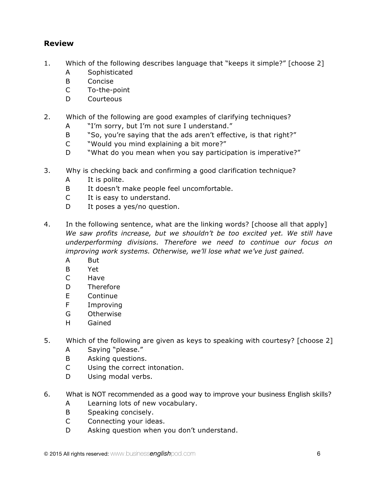## **Review**

- 1. Which of the following describes language that "keeps it simple?" [choose 2]
	- A Sophisticated
	- B Concise
	- C To-the-point
	- D Courteous
- 2. Which of the following are good examples of clarifying techniques?
	- A "I'm sorry, but I'm not sure I understand."
	- B "So, you're saying that the ads aren't effective, is that right?"
	- C "Would you mind explaining a bit more?"
	- D "What do you mean when you say participation is imperative?"
- 3. Why is checking back and confirming a good clarification technique?
	- A It is polite.
	- B It doesn't make people feel uncomfortable.
	- C It is easy to understand.
	- D It poses a yes/no question.
- 4. In the following sentence, what are the linking words? [choose all that apply] We saw profits increase, but we shouldn't be too excited yet. We still have *underperforming divisions. Therefore we need to continue our focus on improving work systems. Otherwise, we'll lose what we've just gained.*
	- A But
	- B Yet
	- C Have
	- D Therefore
	- E Continue
	- F Improving
	- G Otherwise
	- H Gained
- 5. Which of the following are given as keys to speaking with courtesy? [choose 2]
	- A Saying "please."
	- B Asking questions.
	- C Using the correct intonation.
	- D Using modal verbs.
- 6. What is NOT recommended as a good way to improve your business English skills?
	- A Learning lots of new vocabulary.
	- B Speaking concisely.
	- C Connecting your ideas.
	- D Asking question when you don't understand.